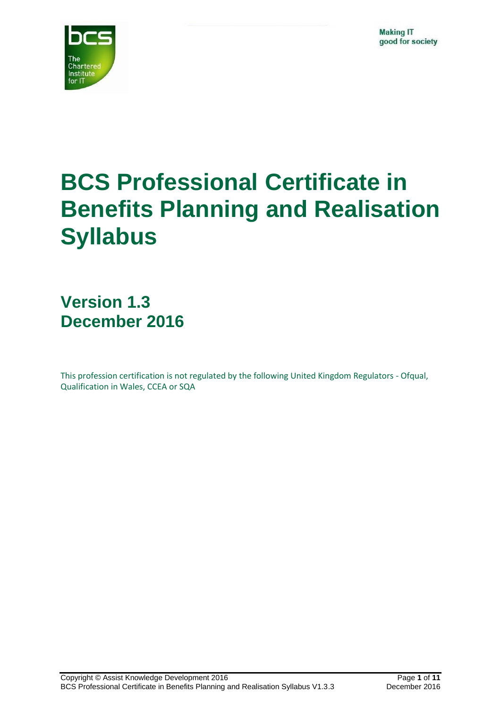

# **BCS Professional Certificate in Benefits Planning and Realisation Syllabus**

**Version 1.3 December 2016**

This profession certification is not regulated by the following United Kingdom Regulators - Ofqual, Qualification in Wales, CCEA or SQA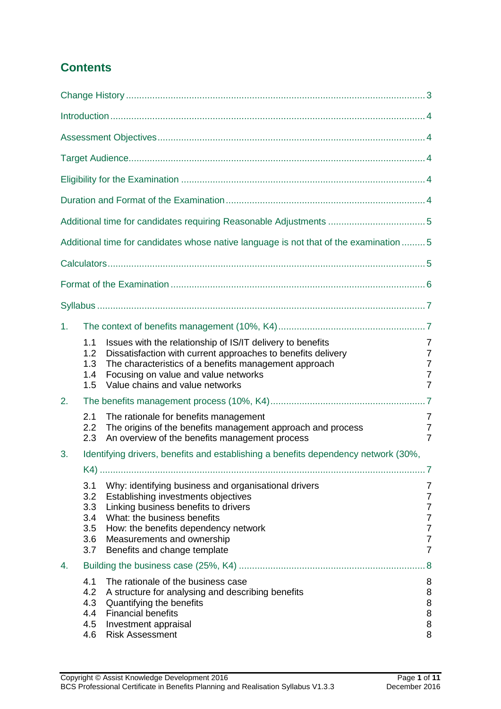### **Contents**

|    |                                               | Additional time for candidates whose native language is not that of the examination  5                                                                                                                                                                                   |                                                                                                                     |
|----|-----------------------------------------------|--------------------------------------------------------------------------------------------------------------------------------------------------------------------------------------------------------------------------------------------------------------------------|---------------------------------------------------------------------------------------------------------------------|
|    |                                               |                                                                                                                                                                                                                                                                          |                                                                                                                     |
|    |                                               |                                                                                                                                                                                                                                                                          |                                                                                                                     |
|    |                                               |                                                                                                                                                                                                                                                                          |                                                                                                                     |
| 1. |                                               |                                                                                                                                                                                                                                                                          |                                                                                                                     |
|    | 1.1<br>1.2<br>1.3<br>1.4<br>1.5               | Issues with the relationship of IS/IT delivery to benefits<br>Dissatisfaction with current approaches to benefits delivery<br>The characteristics of a benefits management approach<br>Focusing on value and value networks<br>Value chains and value networks           | 7<br>$\overline{7}$<br>$\overline{7}$<br>$\overline{7}$<br>$\overline{7}$                                           |
| 2. |                                               |                                                                                                                                                                                                                                                                          |                                                                                                                     |
|    | 2.1<br>2.2<br>2.3                             | The rationale for benefits management<br>The origins of the benefits management approach and process<br>An overview of the benefits management process                                                                                                                   | 7<br>7<br>$\overline{7}$                                                                                            |
| 3. |                                               | Identifying drivers, benefits and establishing a benefits dependency network (30%,                                                                                                                                                                                       |                                                                                                                     |
|    | 3.1<br>3.2<br>3.3<br>3.4<br>3.5<br>3.6<br>3.7 | Why: identifying business and organisational drivers<br>Establishing investments objectives<br>Linking business benefits to drivers<br>What: the business benefits<br>How: the benefits dependency network<br>Measurements and ownership<br>Benefits and change template | .7<br>7<br>$\overline{7}$<br>$\overline{7}$<br>$\overline{7}$<br>$\overline{7}$<br>$\overline{7}$<br>$\overline{7}$ |
| 4. | 8.5                                           |                                                                                                                                                                                                                                                                          |                                                                                                                     |
|    | 4.1<br>4.2<br>4.3<br>4.4<br>4.5<br>4.6        | The rationale of the business case<br>A structure for analysing and describing benefits<br>Quantifying the benefits<br><b>Financial benefits</b><br>Investment appraisal<br><b>Risk Assessment</b>                                                                       | 8<br>8<br>8<br>8<br>8<br>8                                                                                          |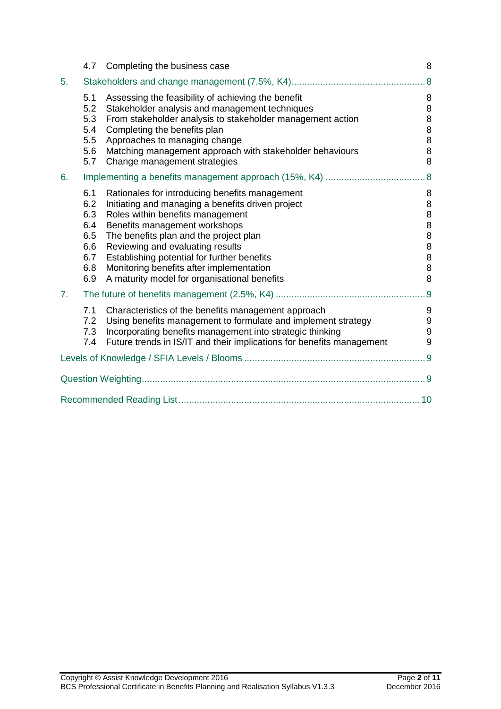|    | 4.7                                                         | Completing the business case                                                                                                                                                                                                                                                                                                                                                                      | 8                                                                       |
|----|-------------------------------------------------------------|---------------------------------------------------------------------------------------------------------------------------------------------------------------------------------------------------------------------------------------------------------------------------------------------------------------------------------------------------------------------------------------------------|-------------------------------------------------------------------------|
| 5. |                                                             |                                                                                                                                                                                                                                                                                                                                                                                                   | .8                                                                      |
|    | 5.1<br>5.2<br>5.3<br>5.4<br>5.5<br>5.6<br>5.7               | Assessing the feasibility of achieving the benefit<br>Stakeholder analysis and management techniques<br>From stakeholder analysis to stakeholder management action<br>Completing the benefits plan<br>Approaches to managing change<br>Matching management approach with stakeholder behaviours<br>Change management strategies                                                                   | 8<br>8<br>8<br>8<br>8<br>$\,8\,$<br>8                                   |
| 6. |                                                             | .8                                                                                                                                                                                                                                                                                                                                                                                                |                                                                         |
|    | 6.1<br>6.2<br>6.3<br>6.4<br>6.5<br>6.6<br>6.7<br>6.8<br>6.9 | Rationales for introducing benefits management<br>Initiating and managing a benefits driven project<br>Roles within benefits management<br>Benefits management workshops<br>The benefits plan and the project plan<br>Reviewing and evaluating results<br>Establishing potential for further benefits<br>Monitoring benefits after implementation<br>A maturity model for organisational benefits | 8<br>$\,8\,$<br>8<br>$\bf 8$<br>$\bf 8$<br>8<br>$\bf 8$<br>$\bf 8$<br>8 |
| 7. |                                                             |                                                                                                                                                                                                                                                                                                                                                                                                   | . 9                                                                     |
|    | 7.1<br>7.2<br>7.3<br>7.4                                    | Characteristics of the benefits management approach<br>Using benefits management to formulate and implement strategy<br>Incorporating benefits management into strategic thinking<br>Future trends in IS/IT and their implications for benefits management                                                                                                                                        | 9<br>$\boldsymbol{9}$<br>$\boldsymbol{9}$<br>9                          |
|    |                                                             |                                                                                                                                                                                                                                                                                                                                                                                                   |                                                                         |
|    |                                                             |                                                                                                                                                                                                                                                                                                                                                                                                   |                                                                         |
|    |                                                             |                                                                                                                                                                                                                                                                                                                                                                                                   |                                                                         |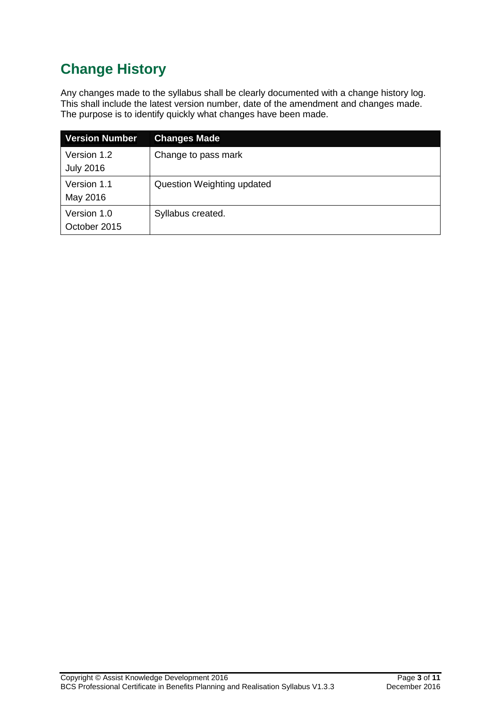# <span id="page-3-0"></span>**Change History**

Any changes made to the syllabus shall be clearly documented with a change history log. This shall include the latest version number, date of the amendment and changes made. The purpose is to identify quickly what changes have been made.

| <b>Version Number</b>           | <b>Changes Made</b>        |
|---------------------------------|----------------------------|
| Version 1.2<br><b>July 2016</b> | Change to pass mark        |
| Version 1.1<br>May 2016         | Question Weighting updated |
| Version 1.0<br>October 2015     | Syllabus created.          |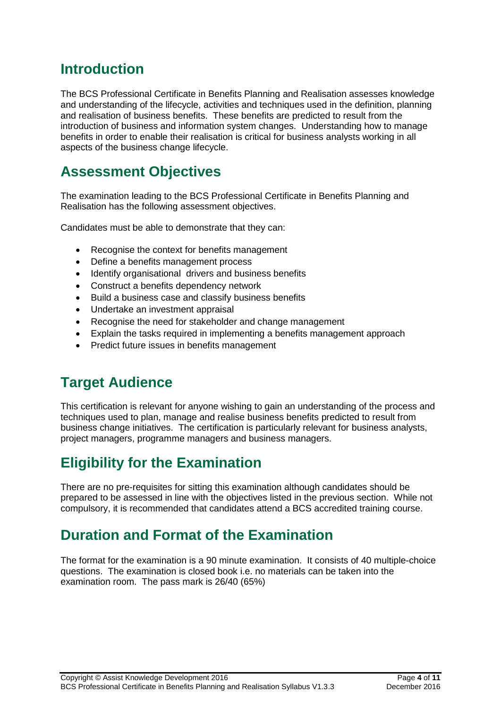## <span id="page-4-0"></span>**Introduction**

The BCS Professional Certificate in Benefits Planning and Realisation assesses knowledge and understanding of the lifecycle, activities and techniques used in the definition, planning and realisation of business benefits. These benefits are predicted to result from the introduction of business and information system changes. Understanding how to manage benefits in order to enable their realisation is critical for business analysts working in all aspects of the business change lifecycle.

# <span id="page-4-1"></span>**Assessment Objectives**

The examination leading to the BCS Professional Certificate in Benefits Planning and Realisation has the following assessment objectives.

Candidates must be able to demonstrate that they can:

- Recognise the context for benefits management
- Define a benefits management process
- Identify organisational drivers and business benefits
- Construct a benefits dependency network
- Build a business case and classify business benefits
- Undertake an investment appraisal
- Recognise the need for stakeholder and change management
- Explain the tasks required in implementing a benefits management approach
- Predict future issues in benefits management

# <span id="page-4-2"></span>**Target Audience**

This certification is relevant for anyone wishing to gain an understanding of the process and techniques used to plan, manage and realise business benefits predicted to result from business change initiatives. The certification is particularly relevant for business analysts, project managers, programme managers and business managers.

# <span id="page-4-3"></span>**Eligibility for the Examination**

There are no pre-requisites for sitting this examination although candidates should be prepared to be assessed in line with the objectives listed in the previous section. While not compulsory, it is recommended that candidates attend a BCS accredited training course.

# <span id="page-4-4"></span>**Duration and Format of the Examination**

The format for the examination is a 90 minute examination. It consists of 40 multiple-choice questions. The examination is closed book i.e. no materials can be taken into the examination room. The pass mark is 26/40 (65%)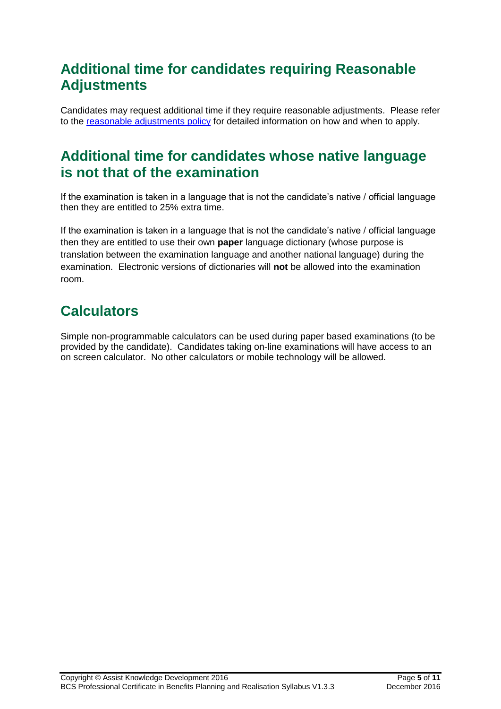# <span id="page-5-0"></span>**Additional time for candidates requiring Reasonable Adjustments**

Candidates may request additional time if they require reasonable adjustments. Please refer to the [reasonable adjustments policy](file://///bcsfile01/UDrive/PDS/Client%20Services/Policy%20&%20Compliance/QMS/Master%20Policies/PDS%20Pol%2001%20V6.0%20(Approved)%20Reasonable%20Adjustments%20Policy.doc) for detailed information on how and when to apply.

### <span id="page-5-1"></span>**Additional time for candidates whose native language is not that of the examination**

If the examination is taken in a language that is not the candidate's native / official language then they are entitled to 25% extra time.

If the examination is taken in a language that is not the candidate's native / official language then they are entitled to use their own **paper** language dictionary (whose purpose is translation between the examination language and another national language) during the examination. Electronic versions of dictionaries will **not** be allowed into the examination room.

# <span id="page-5-2"></span>**Calculators**

Simple non-programmable calculators can be used during paper based examinations (to be provided by the candidate). Candidates taking on-line examinations will have access to an on screen calculator. No other calculators or mobile technology will be allowed.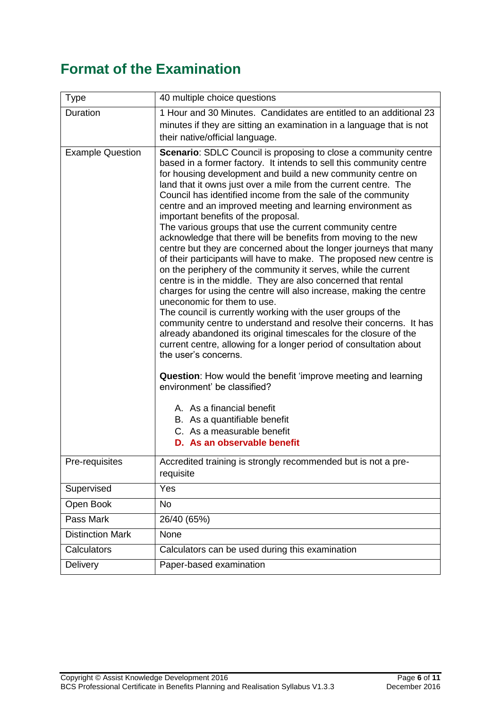# <span id="page-6-0"></span>**Format of the Examination**

| Type                    | 40 multiple choice questions                                                                                                                                                                                                                                                                                                                                                                                                                                                                                                                                                                                                                                                                                                                                                                                                                                                                                                                                                                                                                                                                                                                                                                                                                                                                                                                                                                                                                                                                                  |
|-------------------------|---------------------------------------------------------------------------------------------------------------------------------------------------------------------------------------------------------------------------------------------------------------------------------------------------------------------------------------------------------------------------------------------------------------------------------------------------------------------------------------------------------------------------------------------------------------------------------------------------------------------------------------------------------------------------------------------------------------------------------------------------------------------------------------------------------------------------------------------------------------------------------------------------------------------------------------------------------------------------------------------------------------------------------------------------------------------------------------------------------------------------------------------------------------------------------------------------------------------------------------------------------------------------------------------------------------------------------------------------------------------------------------------------------------------------------------------------------------------------------------------------------------|
| Duration                | 1 Hour and 30 Minutes. Candidates are entitled to an additional 23<br>minutes if they are sitting an examination in a language that is not<br>their native/official language.                                                                                                                                                                                                                                                                                                                                                                                                                                                                                                                                                                                                                                                                                                                                                                                                                                                                                                                                                                                                                                                                                                                                                                                                                                                                                                                                 |
| <b>Example Question</b> | <b>Scenario:</b> SDLC Council is proposing to close a community centre<br>based in a former factory. It intends to sell this community centre<br>for housing development and build a new community centre on<br>land that it owns just over a mile from the current centre. The<br>Council has identified income from the sale of the community<br>centre and an improved meeting and learning environment as<br>important benefits of the proposal.<br>The various groups that use the current community centre<br>acknowledge that there will be benefits from moving to the new<br>centre but they are concerned about the longer journeys that many<br>of their participants will have to make. The proposed new centre is<br>on the periphery of the community it serves, while the current<br>centre is in the middle. They are also concerned that rental<br>charges for using the centre will also increase, making the centre<br>uneconomic for them to use.<br>The council is currently working with the user groups of the<br>community centre to understand and resolve their concerns. It has<br>already abandoned its original timescales for the closure of the<br>current centre, allowing for a longer period of consultation about<br>the user's concerns.<br><b>Question:</b> How would the benefit 'improve meeting and learning<br>environment' be classified?<br>A. As a financial benefit<br>B. As a quantifiable benefit<br>C. As a measurable benefit<br>D. As an observable benefit |
| Pre-requisites          | Accredited training is strongly recommended but is not a pre-<br>requisite                                                                                                                                                                                                                                                                                                                                                                                                                                                                                                                                                                                                                                                                                                                                                                                                                                                                                                                                                                                                                                                                                                                                                                                                                                                                                                                                                                                                                                    |
| Supervised              | Yes                                                                                                                                                                                                                                                                                                                                                                                                                                                                                                                                                                                                                                                                                                                                                                                                                                                                                                                                                                                                                                                                                                                                                                                                                                                                                                                                                                                                                                                                                                           |
| Open Book               | <b>No</b>                                                                                                                                                                                                                                                                                                                                                                                                                                                                                                                                                                                                                                                                                                                                                                                                                                                                                                                                                                                                                                                                                                                                                                                                                                                                                                                                                                                                                                                                                                     |
| Pass Mark               | 26/40 (65%)                                                                                                                                                                                                                                                                                                                                                                                                                                                                                                                                                                                                                                                                                                                                                                                                                                                                                                                                                                                                                                                                                                                                                                                                                                                                                                                                                                                                                                                                                                   |
| <b>Distinction Mark</b> | None                                                                                                                                                                                                                                                                                                                                                                                                                                                                                                                                                                                                                                                                                                                                                                                                                                                                                                                                                                                                                                                                                                                                                                                                                                                                                                                                                                                                                                                                                                          |
| Calculators             | Calculators can be used during this examination                                                                                                                                                                                                                                                                                                                                                                                                                                                                                                                                                                                                                                                                                                                                                                                                                                                                                                                                                                                                                                                                                                                                                                                                                                                                                                                                                                                                                                                               |
| Delivery                | Paper-based examination                                                                                                                                                                                                                                                                                                                                                                                                                                                                                                                                                                                                                                                                                                                                                                                                                                                                                                                                                                                                                                                                                                                                                                                                                                                                                                                                                                                                                                                                                       |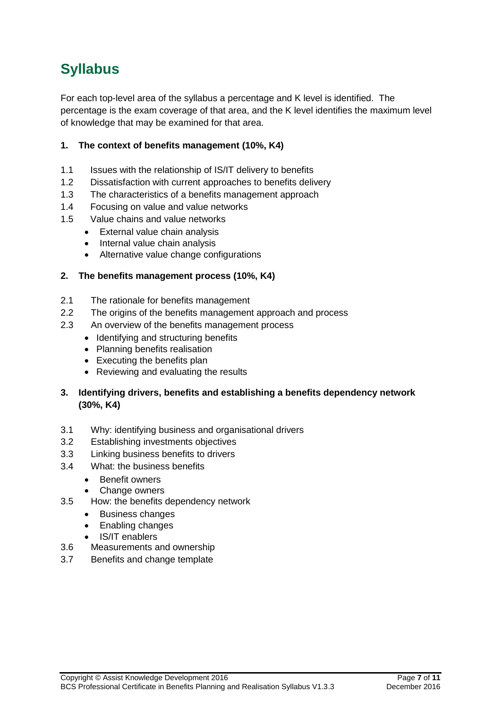# <span id="page-7-0"></span>**Syllabus**

For each top-level area of the syllabus a percentage and K level is identified. The percentage is the exam coverage of that area, and the K level identifies the maximum level of knowledge that may be examined for that area.

### <span id="page-7-1"></span>**1. The context of benefits management (10%, K4)**

- <span id="page-7-2"></span>1.1 Issues with the relationship of IS/IT delivery to benefits
- <span id="page-7-3"></span>1.2 Dissatisfaction with current approaches to benefits delivery
- <span id="page-7-4"></span>1.3 The characteristics of a benefits management approach
- <span id="page-7-5"></span>1.4 Focusing on value and value networks
- <span id="page-7-6"></span>1.5 Value chains and value networks
	- External value chain analysis
		- Internal value chain analysis
		- Alternative value change configurations

### <span id="page-7-7"></span>**2. The benefits management process (10%, K4)**

- <span id="page-7-8"></span>2.1 The rationale for benefits management
- <span id="page-7-9"></span>2.2 The origins of the benefits management approach and process
- <span id="page-7-10"></span>2.3 An overview of the benefits management process
	- Identifying and structuring benefits
	- Planning benefits realisation
	- Executing the benefits plan
	- Reviewing and evaluating the results
- <span id="page-7-11"></span>**3. Identifying drivers, benefits and establishing a benefits dependency network (30%, K4)**
- <span id="page-7-12"></span>3.1 Why: identifying business and organisational drivers
- <span id="page-7-13"></span>3.2 Establishing investments objectives
- <span id="page-7-14"></span>3.3 Linking business benefits to drivers
- <span id="page-7-15"></span>3.4 What: the business benefits
	- Benefit owners
	- Change owners
- <span id="page-7-16"></span>3.5 How: the benefits dependency network
	- Business changes
	- Enabling changes
	- IS/IT enablers
- <span id="page-7-17"></span>3.6 Measurements and ownership
- <span id="page-7-18"></span>3.7 Benefits and change template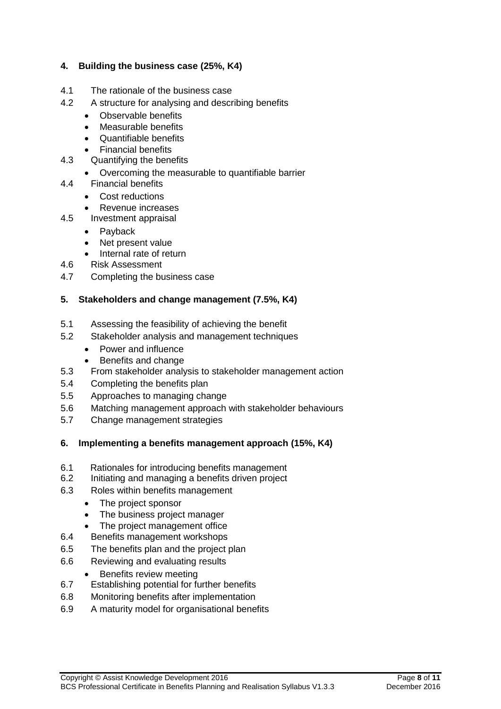#### <span id="page-8-0"></span>**4. Building the business case (25%, K4)**

- <span id="page-8-1"></span>4.1 The rationale of the business case
- <span id="page-8-2"></span>4.2 A structure for analysing and describing benefits
	- Observable benefits
	- Measurable benefits
	- Quantifiable benefits
	- Financial benefits
- <span id="page-8-3"></span>4.3 Quantifying the benefits
	- Overcoming the measurable to quantifiable barrier
- <span id="page-8-4"></span>4.4 Financial benefits
	- Cost reductions
	- Revenue increases
- <span id="page-8-5"></span>4.5 Investment appraisal
	- Payback
	- Net present value
	- Internal rate of return
- <span id="page-8-6"></span>4.6 Risk Assessment
- <span id="page-8-7"></span>4.7 Completing the business case

### <span id="page-8-8"></span>**5. Stakeholders and change management (7.5%, K4)**

- <span id="page-8-9"></span>5.1 Assessing the feasibility of achieving the benefit
- <span id="page-8-10"></span>5.2 Stakeholder analysis and management techniques
	- Power and influence
	- Benefits and change
- <span id="page-8-11"></span>5.3 From stakeholder analysis to stakeholder management action
- <span id="page-8-12"></span>5.4 Completing the benefits plan
- <span id="page-8-13"></span>5.5 Approaches to managing change
- <span id="page-8-14"></span>5.6 Matching management approach with stakeholder behaviours
- <span id="page-8-15"></span>5.7 Change management strategies

#### <span id="page-8-16"></span>**6. Implementing a benefits management approach (15%, K4)**

- <span id="page-8-17"></span>6.1 Rationales for introducing benefits management
- <span id="page-8-18"></span>6.2 Initiating and managing a benefits driven project
- <span id="page-8-19"></span>6.3 Roles within benefits management
	- The project sponsor
	- The business project manager
	- The project management office
- <span id="page-8-20"></span>6.4 Benefits management workshops
- <span id="page-8-21"></span>6.5 The benefits plan and the project plan
- <span id="page-8-22"></span>6.6 Reviewing and evaluating results
- Benefits review meeting
- <span id="page-8-23"></span>6.7 Establishing potential for further benefits
- <span id="page-8-24"></span>6.8 Monitoring benefits after implementation
- <span id="page-8-25"></span>6.9 A maturity model for organisational benefits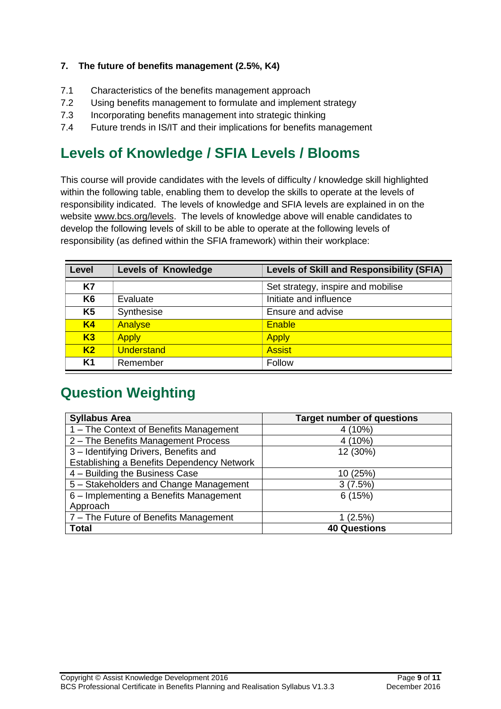### <span id="page-9-0"></span>**7. The future of benefits management (2.5%, K4)**

- <span id="page-9-1"></span>7.1 Characteristics of the benefits management approach
- <span id="page-9-2"></span>7.2 Using benefits management to formulate and implement strategy
- <span id="page-9-3"></span>7.3 Incorporating benefits management into strategic thinking
- <span id="page-9-4"></span>7.4 Future trends in IS/IT and their implications for benefits management

# <span id="page-9-5"></span>**Levels of Knowledge / SFIA Levels / Blooms**

This course will provide candidates with the levels of difficulty / knowledge skill highlighted within the following table, enabling them to develop the skills to operate at the levels of responsibility indicated. The levels of knowledge and SFIA levels are explained in on the website [www.bcs.org/levels.](http://www.bcs.org/levels) The levels of knowledge above will enable candidates to develop the following levels of skill to be able to operate at the following levels of responsibility (as defined within the SFIA framework) within their workplace:

| Level          | <b>Levels of Knowledge</b> | <b>Levels of Skill and Responsibility (SFIA)</b> |
|----------------|----------------------------|--------------------------------------------------|
| <b>K7</b>      |                            | Set strategy, inspire and mobilise               |
| K <sub>6</sub> | Evaluate                   | Initiate and influence                           |
| K <sub>5</sub> | Synthesise                 | Ensure and advise                                |
| K <sub>4</sub> | Analyse                    | <b>Enable</b>                                    |
| K3             | <b>Apply</b>               | <b>Apply</b>                                     |
| K <sub>2</sub> | <b>Understand</b>          | <b>Assist</b>                                    |
| <b>K1</b>      | Remember                   | Follow                                           |

# <span id="page-9-6"></span>**Question Weighting**

| <b>Syllabus Area</b>                       | <b>Target number of questions</b> |
|--------------------------------------------|-----------------------------------|
| 1 – The Context of Benefits Management     | $4(10\%)$                         |
| 2 - The Benefits Management Process        | 4 (10%)                           |
| 3 - Identifying Drivers, Benefits and      | 12 (30%)                          |
| Establishing a Benefits Dependency Network |                                   |
| 4 - Building the Business Case             | 10 (25%)                          |
| 5 - Stakeholders and Change Management     | 3(7.5%)                           |
| 6 - Implementing a Benefits Management     | 6(15%)                            |
| Approach                                   |                                   |
| 7 – The Future of Benefits Management      | 1(2.5%)                           |
| <b>Total</b>                               | <b>40 Questions</b>               |